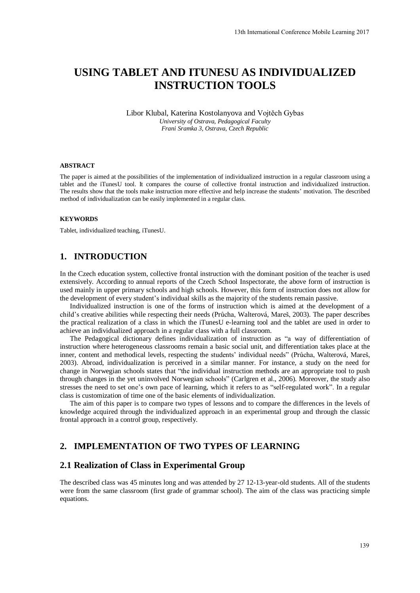# **USING TABLET AND ITUNESU AS INDIVIDUALIZED INSTRUCTION TOOLS**

Libor Klubal, Katerina Kostolanyova and Vojtěch Gybas *University of Ostrava, Pedagogical Faculty Frani Sramka 3, Ostrava, Czech Republic* 

#### **ABSTRACT**

The paper is aimed at the possibilities of the implementation of individualized instruction in a regular classroom using a tablet and the iTunesU tool. It compares the course of collective frontal instruction and individualized instruction. The results show that the tools make instruction more effective and help increase the students' motivation. The described method of individualization can be easily implemented in a regular class.

#### **KEYWORDS**

Tablet, individualized teaching, iTunesU.

#### **1. INTRODUCTION**

In the Czech education system, collective frontal instruction with the dominant position of the teacher is used extensively. According to annual reports of the Czech School Inspectorate, the above form of instruction is used mainly in upper primary schools and high schools. However, this form of instruction does not allow for the development of every student's individual skills as the majority of the students remain passive.

Individualized instruction is one of the forms of instruction which is aimed at the development of a child's creative abilities while respecting their needs (Průcha, Walterová, Mareš, 2003). The paper describes the practical realization of a class in which the iTunesU e-learning tool and the tablet are used in order to achieve an individualized approach in a regular class with a full classroom.

The Pedagogical dictionary defines individualization of instruction as "a way of differentiation of instruction where heterogeneous classrooms remain a basic social unit, and differentiation takes place at the inner, content and methodical levels, respecting the students' individual needs" (Průcha, Walterová, Mareš, 2003). Abroad, individualization is perceived in a similar manner. For instance, a study on the need for change in Norwegian schools states that "the individual instruction methods are an appropriate tool to push through changes in the yet uninvolved Norwegian schools" (Carlgren et al., 2006). Moreover, the study also stresses the need to set one's own pace of learning, which it refers to as "self-regulated work". In a regular class is customization of time one of the basic elements of individualization.

The aim of this paper is to compare two types of lessons and to compare the differences in the levels of knowledge acquired through the individualized approach in an experimental group and through the classic frontal approach in a control group, respectively.

## **2. IMPLEMENTATION OF TWO TYPES OF LEARNING**

#### **2.1 Realization of Class in Experimental Group**

The described class was 45 minutes long and was attended by 27 12-13-year-old students. All of the students were from the same classroom (first grade of grammar school). The aim of the class was practicing simple equations.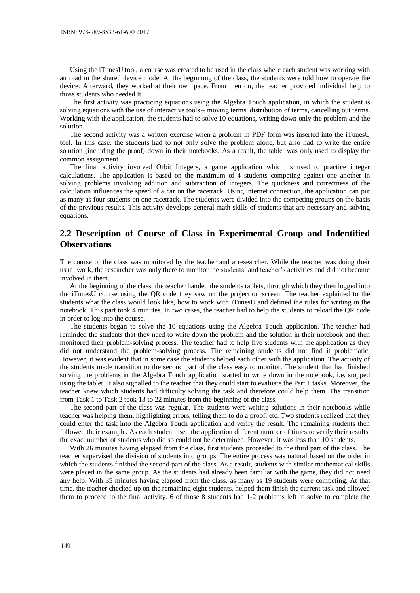Using the iTunesU tool, a course was created to be used in the class where each student was working with an iPad in the shared device mode. At the beginning of the class, the students were told how to operate the device. Afterward, they worked at their own pace. From then on, the teacher provided individual help to those students who needed it.

The first activity was practicing equations using the Algebra Touch application, in which the student is solving equations with the use of interactive tools – moving terms, distribution of terms, cancelling out terms. Working with the application, the students had to solve 10 equations, writing down only the problem and the solution.

The second activity was a written exercise when a problem in PDF form was inserted into the iTunesU tool. In this case, the students had to not only solve the problem alone, but also had to write the entire solution (including the proof) down in their notebooks. As a result, the tablet was only used to display the common assignment.

The final activity involved Orbit Integers, a game application which is used to practice integer calculations. The application is based on the maximum of 4 students competing against one another in solving problems involving addition and subtraction of integers. The quickness and correctness of the calculation influences the speed of a car on the racetrack. Using internet connection, the application can put as many as four students on one racetrack. The students were divided into the competing groups on the basis of the previous results. This activity develops general math skills of students that are necessary and solving equations.

## **2.2 Description of Course of Class in Experimental Group and Indentified Observations**

The course of the class was monitored by the teacher and a researcher. While the teacher was doing their usual work, the researcher was only there to monitor the students' and teacher's activities and did not become involved in them.

At the beginning of the class, the teacher handed the students tablets, through which they then logged into the iTunesU course using the QR code they saw on the projection screen. The teacher explained to the students what the class would look like, how to work with iTunesU and defined the rules for writing in the notebook. This part took 4 minutes. In two cases, the teacher had to help the students to reload the QR code in order to log into the course.

The students began to solve the 10 equations using the Algebra Touch application. The teacher had reminded the students that they need to write down the problem and the solution in their notebook and then monitored their problem-solving process. The teacher had to help five students with the application as they did not understand the problem-solving process. The remaining students did not find it problematic. However, it was evident that in some case the students helped each other with the application. The activity of the students made transition to the second part of the class easy to monitor. The student that had finished solving the problems in the Algebra Touch application started to write down in the notebook, i.e. stopped using the tablet. It also signalled to the teacher that they could start to evaluate the Part 1 tasks. Moreover, the teacher knew which students had difficulty solving the task and therefore could help them. The transition from Task 1 to Task 2 took 13 to 22 minutes from the beginning of the class.

The second part of the class was regular. The students were writing solutions in their notebooks while teacher was helping them, highlighting errors, telling them to do a proof, etc. Two students realized that they could enter the task into the Algebra Touch application and verify the result. The remaining students then followed their example. As each student used the application different number of times to verify their results, the exact number of students who did so could not be determined. However, it was less than 10 students.

With 26 minutes having elapsed from the class, first students proceeded to the third part of the class. The teacher supervised the division of students into groups. The entire process was natural based on the order in which the students finished the second part of the class. As a result, students with similar mathematical skills were placed in the same group. As the students had already been familiar with the game, they did not need any help. With 35 minutes having elapsed from the class, as many as 19 students were competing. At that time, the teacher checked up on the remaining eight students, helped them finish the current task and allowed them to proceed to the final activity. 6 of those 8 students had 1-2 problems left to solve to complete the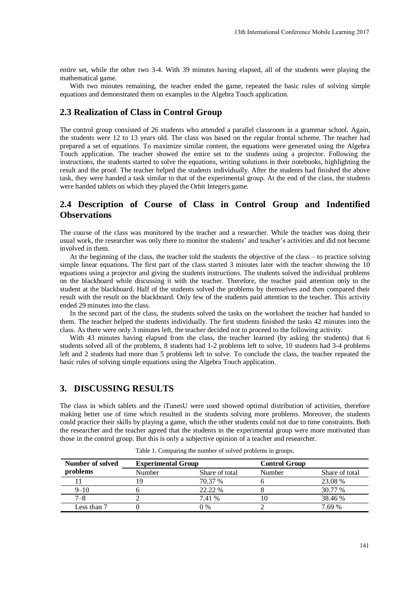entire set, while the other two 3-4. With 39 minutes having elapsed, all of the students were playing the mathematical game.

With two minutes remaining, the teacher ended the game, repeated the basic rules of solving simple equations and demonstrated them on examples in the Algebra Touch application.

#### **2.3 Realization of Class in Control Group**

The control group consisted of 26 students who attended a parallel classroom in a grammar school. Again, the students were 12 to 13 years old. The class was based on the regular frontal scheme. The teacher had prepared a set of equations. To maximize similar content, the equations were generated using the Algebra Touch application. The teacher showed the entire set to the students using a projector. Following the instructions, the students started to solve the equations, writing solutions in their notebooks, highlighting the result and the proof. The teacher helped the students individually. After the students had finished the above task, they were handed a task similar to that of the experimental group. At the end of the class, the students were handed tablets on which they played the Orbit Integers game.

# **2.4 Description of Course of Class in Control Group and Indentified Observations**

The course of the class was monitored by the teacher and a researcher. While the teacher was doing their usual work, the researcher was only there to monitor the students' and teacher's activities and did not become involved in them.

At the beginning of the class, the teacher told the students the objective of the class – to practice solving simple linear equations. The first part of the class started 3 minutes later with the teacher showing the 10 equations using a projector and giving the students instructions. The students solved the individual problems on the blackboard while discussing it with the teacher. Therefore, the teacher paid attention only to the student at the blackboard. Half of the students solved the problems by themselves and then compared their result with the result on the blackboard. Only few of the students paid attention to the teacher. This activity ended 29 minutes into the class.

In the second part of the class, the students solved the tasks on the worksheet the teacher had handed to them. The teacher helped the students individually. The first students finished the tasks 42 minutes into the class. As there were only 3 minutes left, the teacher decided not to proceed to the following activity.

With 43 minutes having elapsed from the class, the teacher learned (by asking the students) that 6 students solved all of the problems, 8 students had 1-2 problems left to solve, 10 students had 3-4 problems left and 2 students had more than 5 problems left to solve. To conclude the class, the teacher repeated the basic rules of solving simple equations using the Algebra Touch application.

#### **3. DISCUSSING RESULTS**

The class in which tablets and the iTunesU were used showed optimal distribution of activities, therefore making better use of time which resulted in the students solving more problems. Moreover, the students could practice their skills by playing a game, which the other students could not due to time constraints. Both the researcher and the teacher agreed that the students in the experimental group were more motivated than those in the control group. But this is only a subjective opinion of a teacher and researcher.

| Number of solved | <b>Experimental Group</b> |                | <b>Control Group</b> |                |
|------------------|---------------------------|----------------|----------------------|----------------|
| problems         | Number                    | Share of total | Number               | Share of total |
|                  |                           | 70.37 %        |                      | 23.08 %        |
| $9 - 10$         |                           | 22.22 %        |                      | 30.77 %        |
| $7 - 8$          |                           | 7.41 %         |                      | 38.46 %        |
| Less than 7      |                           | $0\%$          |                      | 7.69 %         |

Table 1. Comparing the number of solved problems in groups.